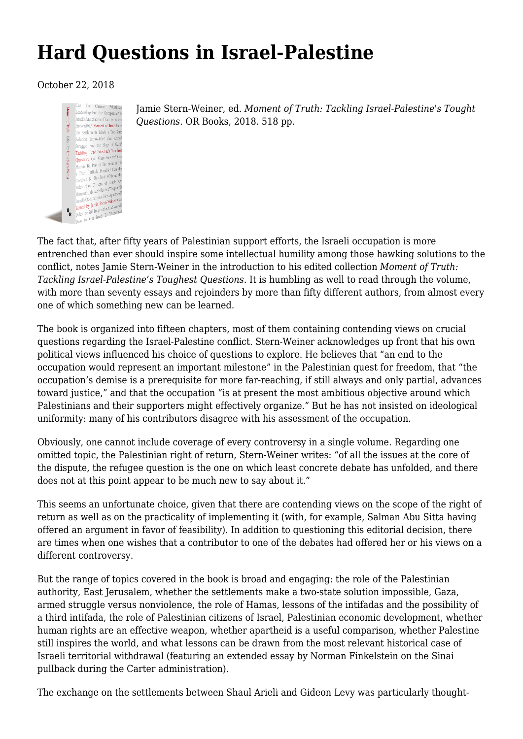## **[Hard Questions in Israel-Palestine](https://newpol.org/hard-questions-israelpalestine/)**

## October 22, 2018



Jamie Stern-Weiner, ed. *Moment of Truth: Tackling Israel-Palestine's Tought Questions*. OR Books, 2018. 518 pp.

The fact that, after fifty years of Palestinian support efforts, the Israeli occupation is more entrenched than ever should inspire some intellectual humility among those hawking solutions to the conflict, notes Jamie Stern-Weiner in the introduction to his edited collection *[Moment of Truth:](https://www.orbooks.com/catalog/moment-of-truth/) [Tackling Israel-Palestine's Toughest Questions](https://www.orbooks.com/catalog/moment-of-truth/)*. It is humbling as well to read through the volume, with more than seventy essays and rejoinders by more than fifty different authors, from almost every one of which something new can be learned.

The book is organized into fifteen chapters, most of them containing contending views on crucial questions regarding the Israel-Palestine conflict. Stern-Weiner acknowledges up front that his own political views influenced his choice of questions to explore. He believes that "an end to the occupation would represent an important milestone" in the Palestinian quest for freedom, that "the occupation's demise is a prerequisite for more far-reaching, if still always and only partial, advances toward justice," and that the occupation "is at present the most ambitious objective around which Palestinians and their supporters might effectively organize." But he has not insisted on ideological uniformity: many of his contributors disagree with his assessment of the occupation.

Obviously, one cannot include coverage of every controversy in a single volume. Regarding one omitted topic, the Palestinian right of return, Stern-Weiner writes: "of all the issues at the core of the dispute, the refugee question is the one on which least concrete debate has unfolded, and there does not at this point appear to be much new to say about it."

This seems an unfortunate choice, given that there are contending views on the scope of the right of return as well as on the practicality of implementing it (with, for example, [Salman Abu Sitta](http://www.plands.org/en/articles-speeches/articles/1997/the-feasibility-of-the-right-of-return) having offered an argument in favor of feasibility). In addition to questioning this editorial decision, there are times when one wishes that a contributor to one of the debates had offered her or his views on a different controversy.

But the range of topics covered in the book is broad and engaging: the role of the Palestinian authority, East Jerusalem, whether the settlements make a two-state solution impossible, Gaza, armed struggle versus nonviolence, the role of Hamas, lessons of the intifadas and the possibility of a third intifada, the role of Palestinian citizens of Israel, Palestinian economic development, whether human rights are an effective weapon, whether apartheid is a useful comparison, whether Palestine still inspires the world, and what lessons can be drawn from the most relevant historical case of Israeli territorial withdrawal (featuring an extended essay by Norman Finkelstein on the Sinai pullback during the Carter administration).

The exchange on the settlements between Shaul Arieli and Gideon Levy was particularly thought-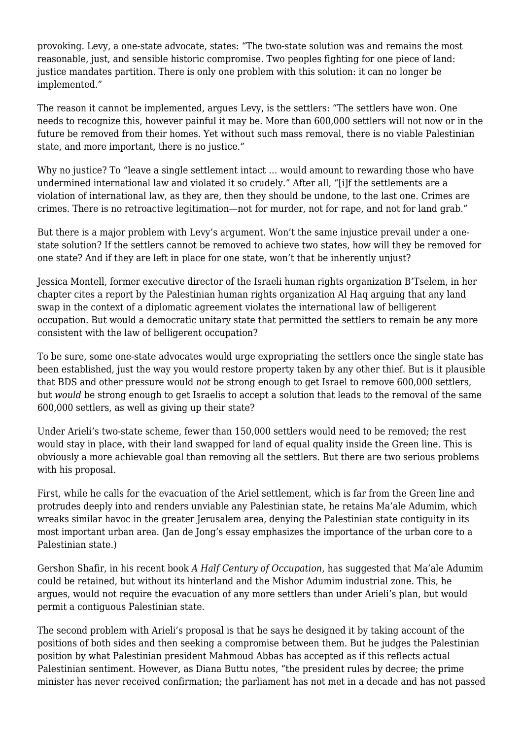provoking. Levy, a one-state advocate, states: "The two-state solution was and remains the most reasonable, just, and sensible historic compromise. Two peoples fighting for one piece of land: justice mandates partition. There is only one problem with this solution: it can no longer be implemented."

The reason it cannot be implemented, argues Levy, is the settlers: "The settlers have won. One needs to recognize this, however painful it may be. More than 600,000 settlers will not now or in the future be removed from their homes. Yet without such mass removal, there is no viable Palestinian state, and more important, there is no justice."

Why no justice? To "leave a single settlement intact … would amount to rewarding those who have undermined international law and violated it so crudely." After all, "[i]f the settlements are a violation of international law, as they are, then they should be undone, to the last one. Crimes are crimes. There is no retroactive legitimation—not for murder, not for rape, and not for land grab."

But there is a major problem with Levy's argument. Won't the same injustice prevail under a onestate solution? If the settlers cannot be removed to achieve two states, how will they be removed for one state? And if they are left in place for one state, won't that be inherently unjust?

Jessica Montell, former executive director of the Israeli human rights organization B'Tselem, in her chapter cites a [report](http://www.alhaq.org/publications/publications-index/item/exploring-the-illegality-of-land-swap-agreements-under-occupation) by the Palestinian human rights organization Al Haq arguing that any land swap in the context of a diplomatic agreement violates the international law of belligerent occupation. But would a democratic unitary state that permitted the settlers to remain be any more consistent with the law of belligerent occupation?

To be sure, some one-state advocates would urge expropriating the settlers once the single state has been established, just the way you would restore property taken by any other thief. But is it plausible that BDS and other pressure would *not* be strong enough to get Israel to remove 600,000 settlers, but *would* be strong enough to get Israelis to accept a solution that leads to the removal of the same 600,000 settlers, as well as giving up their state?

Under Arieli's two-state scheme, fewer than 150,000 settlers would need to be removed; the rest would stay in place, with their land swapped for land of equal quality inside the Green line. This is obviously a more achievable goal than removing all the settlers. But there are two serious problems with his proposal.

First, while he calls for the evacuation of the Ariel settlement, which is far from the Green line and protrudes deeply into and renders unviable any Palestinian state, he retains Ma'ale Adumim, which wreaks similar havoc in the greater Jerusalem area, denying the Palestinian state contiguity in its most important urban area. (Jan de Jong's essay emphasizes the importance of the urban core to a Palestinian state.)

Gershon Shafir, in his recent book *[A Half Century of Occupation](https://www.ucpress.edu/book/9780520293502/a-half-century-of-occupation)*, has suggested that Ma'ale Adumim could be retained, but without its hinterland and the Mishor Adumim industrial zone. This, he argues, would not require the evacuation of any more settlers than under Arieli's plan, but would permit a contiguous Palestinian state.

The second problem with Arieli's proposal is that he says he designed it by taking account of the positions of both sides and then seeking a compromise between them. But he judges the Palestinian position by what Palestinian president Mahmoud Abbas has accepted as if this reflects actual Palestinian sentiment. However, as Diana Buttu notes, "the president rules by decree; the prime minister has never received confirmation; the parliament has not met in a decade and has not passed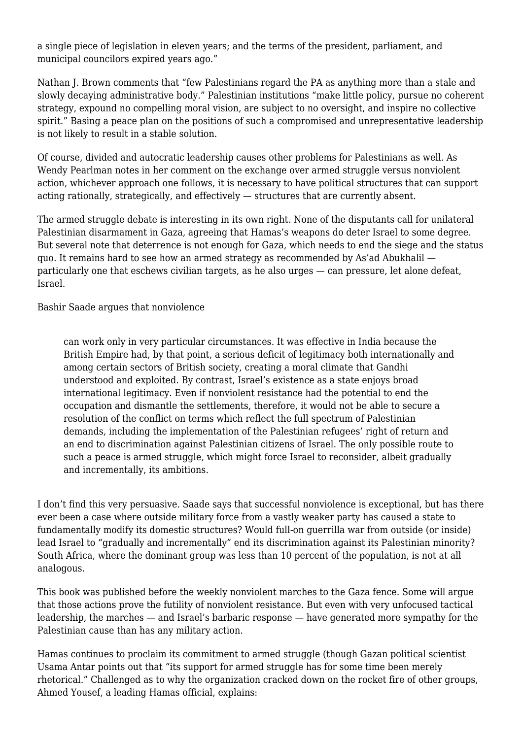a single piece of legislation in eleven years; and the terms of the president, parliament, and municipal councilors expired years ago."

Nathan J. Brown comments that "few Palestinians regard the PA as anything more than a stale and slowly decaying administrative body." Palestinian institutions "make little policy, pursue no coherent strategy, expound no compelling moral vision, are subject to no oversight, and inspire no collective spirit." Basing a peace plan on the positions of such a compromised and unrepresentative leadership is not likely to result in a stable solution.

Of course, divided and autocratic leadership causes other problems for Palestinians as well. As Wendy Pearlman notes in her comment on the exchange over armed struggle versus nonviolent action, whichever approach one follows, it is necessary to have political structures that can support acting rationally, strategically, and effectively — structures that are currently absent.

The armed struggle debate is interesting in its own right. None of the disputants call for unilateral Palestinian disarmament in Gaza, agreeing that Hamas's weapons do deter Israel to some degree. But several note that deterrence is not enough for Gaza, which needs to end the siege and the status quo. It remains hard to see how an armed strategy as recommended by As'ad Abukhalil particularly one that eschews civilian targets, as he also urges — can pressure, let alone defeat, Israel.

Bashir Saade argues that nonviolence

can work only in very particular circumstances. It was effective in India because the British Empire had, by that point, a serious deficit of legitimacy both internationally and among certain sectors of British society, creating a moral climate that Gandhi understood and exploited. By contrast, Israel's existence as a state enjoys broad international legitimacy. Even if nonviolent resistance had the potential to end the occupation and dismantle the settlements, therefore, it would not be able to secure a resolution of the conflict on terms which reflect the full spectrum of Palestinian demands, including the implementation of the Palestinian refugees' right of return and an end to discrimination against Palestinian citizens of Israel. The only possible route to such a peace is armed struggle, which might force Israel to reconsider, albeit gradually and incrementally, its ambitions.

I don't find this very persuasive. Saade says that successful nonviolence is exceptional, but has there ever been a case where outside military force from a vastly weaker party has caused a state to fundamentally modify its domestic structures? Would full-on guerrilla war from outside (or inside) lead Israel to "gradually and incrementally" end its discrimination against its Palestinian minority? South Africa, where the dominant group was less than 10 percent of the population, is not at all analogous.

This book was published before the weekly nonviolent marches to the Gaza fence. Some will argue that those actions prove the futility of nonviolent resistance. But even with very unfocused tactical leadership, the marches — and Israel's barbaric response — have generated more sympathy for the Palestinian cause than has any military action.

Hamas continues to proclaim its commitment to armed struggle (though Gazan political scientist Usama Antar points out that "its support for armed struggle has for some time been merely rhetorical." Challenged as to why the organization cracked down on the rocket fire of other groups, Ahmed Yousef, a leading Hamas official, explains: